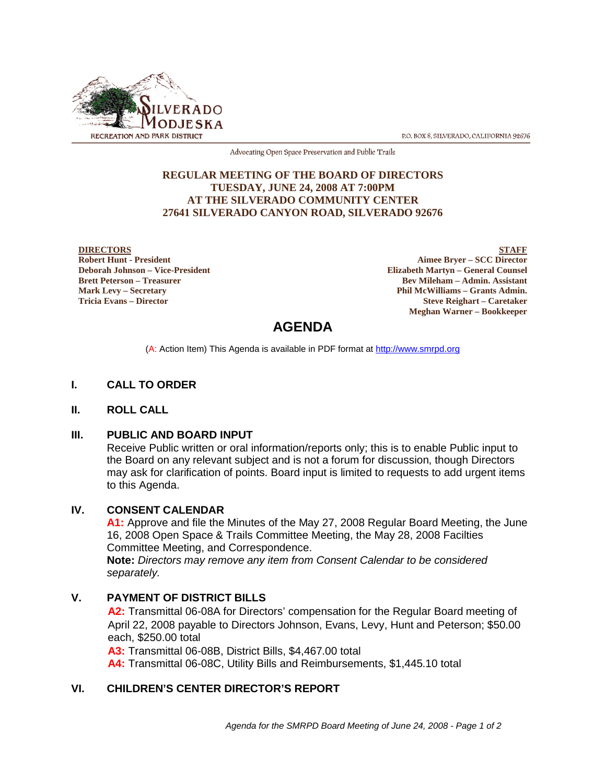

P.O. BOX 8, SILVERADO, CALIFORNIA 92676

Advocating Open Space Preservation and Public Trails

#### **REGULAR MEETING OF THE BOARD OF DIRECTORS TUESDAY, JUNE 24, 2008 AT 7:00PM AT THE SILVERADO COMMUNITY CENTER 27641 SILVERADO CANYON ROAD, SILVERADO 92676**

#### **DIRECTORS Robert Hunt - President Deborah Johnson – Vice-President Brett Peterson – Treasurer Mark Levy – Secretary Tricia Evans – Director**

**STAFF Aimee Bryer – SCC Director Elizabeth Martyn – General Counsel Bev Mileham – Admin. Assistant Phil McWilliams – Grants Admin. Steve Reighart – Caretaker Meghan Warner – Bookkeeper**

# **AGENDA**

(A: Action Item) This Agenda is available in PDF format at http://www.smrpd.org

# **I. CALL TO ORDER**

#### **II. ROLL CALL**

#### **III. PUBLIC AND BOARD INPUT**

Receive Public written or oral information/reports only; this is to enable Public input to the Board on any relevant subject and is not a forum for discussion, though Directors may ask for clarification of points. Board input is limited to requests to add urgent items to this Agenda.

#### **IV. CONSENT CALENDAR**

**A1:** Approve and file the Minutes of the May 27, 2008 Regular Board Meeting, the June 16, 2008 Open Space & Trails Committee Meeting, the May 28, 2008 Facilties Committee Meeting, and Correspondence.

**Note:** *Directors may remove any item from Consent Calendar to be considered separately.*

#### **V. PAYMENT OF DISTRICT BILLS**

**A2:** Transmittal 06-08A for Directors' compensation for the Regular Board meeting of April 22, 2008 payable to Directors Johnson, Evans, Levy, Hunt and Peterson; \$50.00 each, \$250.00 total

**A3:** Transmittal 06-08B, District Bills, \$4,467.00 total

**A4:** Transmittal 06-08C, Utility Bills and Reimbursements, \$1,445.10 total

## **VI. CHILDREN'S CENTER DIRECTOR'S REPORT**